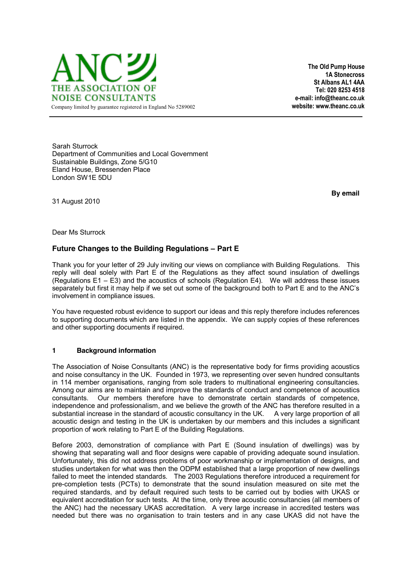

**The Old Pump House 1A Stonecross St Albans AL1 4AA Tel: 020 8253 4518 e-mail: info@theanc.co.uk** 

Sarah Sturrock Department of Communities and Local Government Sustainable Buildings, Zone 5/G10 Eland House, Bressenden Place London SW1E 5DU

**By email** 

Dear Ms Sturrock

31 August 2010

# **Future Changes to the Building Regulations - Part E**

Thank you for your letter of 29 July inviting our views on compliance with Building Regulations. This reply will deal solely with Part E of the Regulations as they affect sound insulation of dwellings  $(Recallations E1 – E3)$  and the acoustics of schools (Regulation E4). We will address these issues separately but first it may help if we set out some of the background both to Part E and to the ANC's involvement in compliance issues.

You have requested robust evidence to support our ideas and this reply therefore includes references to supporting documents which are listed in the appendix. We can supply copies of these references and other supporting documents if required.

## **1 Background information**

The Association of Noise Consultants (ANC) is the representative body for firms providing acoustics and noise consultancy in the UK. Founded in 1973, we representing over seven hundred consultants in 114 member organisations, ranging from sole traders to multinational engineering consultancies. Among our aims are to maintain and improve the standards of conduct and competence of acoustics consultants. Our members therefore have to demonstrate certain standards of competence, independence and professionalism, and we believe the growth of the ANC has therefore resulted in a substantial increase in the standard of acoustic consultancy in the UK. A very large proportion of all acoustic design and testing in the UK is undertaken by our members and this includes a significant proportion of work relating to Part E of the Building Regulations.

Before 2003, demonstration of compliance with Part E (Sound insulation of dwellings) was by showing that separating wall and floor designs were capable of providing adequate sound insulation. Unfortunately, this did not address problems of poor workmanship or implementation of designs, and studies undertaken for what was then the ODPM established that a large proportion of new dwellings failed to meet the intended standards. The 2003 Regulations therefore introduced a requirement for pre-completion tests (PCTs) to demonstrate that the sound insulation measured on site met the required standards, and by default required such tests to be carried out by bodies with UKAS or equivalent accreditation for such tests. At the time, only three acoustic consultancies (all members of the ANC) had the necessary UKAS accreditation. A very large increase in accredited testers was needed but there was no organisation to train testers and in any case UKAS did not have the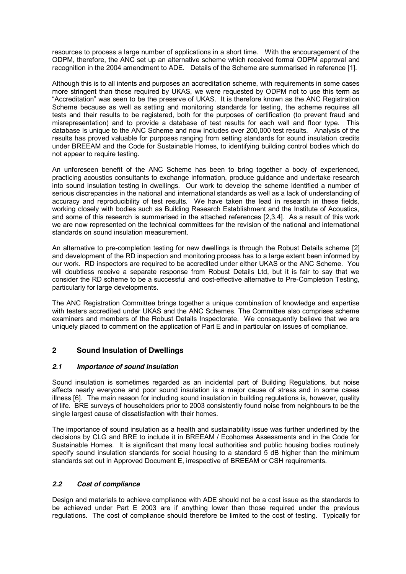resources to process a large number of applications in a short time. With the encouragement of the ODPM, therefore, the ANC set up an alternative scheme which received formal ODPM approval and recognition in the 2004 amendment to ADE. Details of the Scheme are summarised in reference [1].

Although this is to all intents and purposes an accreditation scheme, with requirements in some cases more stringent than those required by UKAS, we were requested by ODPM not to use this term as "Accreditation" was seen to be the preserve of UKAS. It is therefore known as the ANC Registration Scheme because as well as setting and monitoring standards for testing, the scheme requires all tests and their results to be registered, both for the purposes of certification (to prevent fraud and misrepresentation) and to provide a database of test results for each wall and floor type. This database is unique to the ANC Scheme and now includes over 200,000 test results. Analysis of the results has proved valuable for purposes ranging from setting standards for sound insulation credits under BREEAM and the Code for Sustainable Homes, to identifying building control bodies which do not appear to require testing.

An unforeseen benefit of the ANC Scheme has been to bring together a body of experienced, practicing acoustics consultants to exchange information, produce guidance and undertake research into sound insulation testing in dwellings. Our work to develop the scheme identified a number of serious discrepancies in the national and international standards as well as a lack of understanding of accuracy and reproducibility of test results. We have taken the lead in research in these fields, working closely with bodies such as Building Research Establishment and the Institute of Acoustics, and some of this research is summarised in the attached references [2,3,4]. As a result of this work we are now represented on the technical committees for the revision of the national and international standards on sound insulation measurement.

An alternative to pre-completion testing for new dwellings is through the Robust Details scheme [2] and development of the RD inspection and monitoring process has to a large extent been informed by our work. RD inspectors are required to be accredited under either UKAS or the ANC Scheme. You will doubtless receive a separate response from Robust Details Ltd, but it is fair to say that we consider the RD scheme to be a successful and cost-effective alternative to Pre-Completion Testing, particularly for large developments.

The ANC Registration Committee brings together a unique combination of knowledge and expertise with testers accredited under UKAS and the ANC Schemes. The Committee also comprises scheme examiners and members of the Robust Details Inspectorate. We consequently believe that we are uniquely placed to comment on the application of Part E and in particular on issues of compliance.

# **2 Sound Insulation of Dwellings**

## *2.1 Importance of sound insulation*

Sound insulation is sometimes regarded as an incidental part of Building Regulations, but noise affects nearly everyone and poor sound insulation is a major cause of stress and in some cases illness [6]. The main reason for including sound insulation in building regulations is, however, quality of life. BRE surveys of householders prior to 2003 consistently found noise from neighbours to be the single largest cause of dissatisfaction with their homes.

The importance of sound insulation as a health and sustainability issue was further underlined by the decisions by CLG and BRE to include it in BREEAM / Ecohomes Assessments and in the Code for Sustainable Homes. It is significant that many local authorities and public housing bodies routinely specify sound insulation standards for social housing to a standard 5 dB higher than the minimum standards set out in Approved Document E, irrespective of BREEAM or CSH requirements.

# *2.2 Cost of compliance*

Design and materials to achieve compliance with ADE should not be a cost issue as the standards to be achieved under Part E 2003 are if anything lower than those required under the previous regulations. The cost of compliance should therefore be limited to the cost of testing. Typically for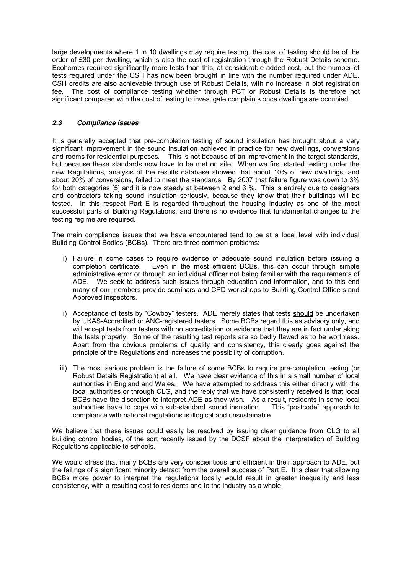large developments where 1 in 10 dwellings may require testing, the cost of testing should be of the order of £30 per dwelling, which is also the cost of registration through the Robust Details scheme. Ecohomes required significantly more tests than this, at considerable added cost, but the number of tests required under the CSH has now been brought in line with the number required under ADE. CSH credits are also achievable through use of Robust Details, with no increase in plot registration fee. The cost of compliance testing whether through PCT or Robust Details is therefore not significant compared with the cost of testing to investigate complaints once dwellings are occupied.

## *2.3 Compliance issues*

It is generally accepted that pre-completion testing of sound insulation has brought about a very significant improvement in the sound insulation achieved in practice for new dwellings, conversions and rooms for residential purposes. This is not because of an improvement in the target standards, but because these standards now have to be met on site. When we first started testing under the new Regulations, analysis of the results database showed that about 10% of new dwellings, and about 20% of conversions, failed to meet the standards. By 2007 that failure figure was down to 3% for both categories [5] and it is now steady at between 2 and 3 %. This is entirely due to designers and contractors taking sound insulation seriously, because they know that their buildings will be tested. In this respect Part E is regarded throughout the housing industry as one of the most successful parts of Building Regulations, and there is no evidence that fundamental changes to the testing regime are required.

The main compliance issues that we have encountered tend to be at a local level with individual Building Control Bodies (BCBs). There are three common problems:

- i) Failure in some cases to require evidence of adequate sound insulation before issuing a completion certificate. Even in the most efficient BCBs, this can occur through simple administrative error or through an individual officer not being familiar with the requirements of ADE. We seek to address such issues through education and information, and to this end many of our members provide seminars and CPD workshops to Building Control Officers and Approved Inspectors.
- ii) Acceptance of tests by "Cowboy" testers. ADE merely states that tests should be undertaken by UKAS-Accredited or ANC-registered testers. Some BCBs regard this as advisory only, and will accept tests from testers with no accreditation or evidence that they are in fact undertaking the tests properly. Some of the resulting test reports are so badly flawed as to be worthless. Apart from the obvious problems of quality and consistency, this clearly goes against the principle of the Regulations and increases the possibility of corruption.
- iii) The most serious problem is the failure of some BCBs to require pre-completion testing (or Robust Details Registration) at all. We have clear evidence of this in a small number of local authorities in England and Wales. We have attempted to address this either directly with the local authorities or through CLG, and the reply that we have consistently received is that local BCBs have the discretion to interpret ADE as they wish. As a result, residents in some local authorities have to cope with sub-standard sound insulation. This "postcode" approach to compliance with national regulations is illogical and unsustainable.

We believe that these issues could easily be resolved by issuing clear guidance from CLG to all building control bodies, of the sort recently issued by the DCSF about the interpretation of Building Regulations applicable to schools.

We would stress that many BCBs are very conscientious and efficient in their approach to ADE, but the failings of a significant minority detract from the overall success of Part E. It is clear that allowing BCBs more power to interpret the regulations locally would result in greater inequality and less consistency, with a resulting cost to residents and to the industry as a whole.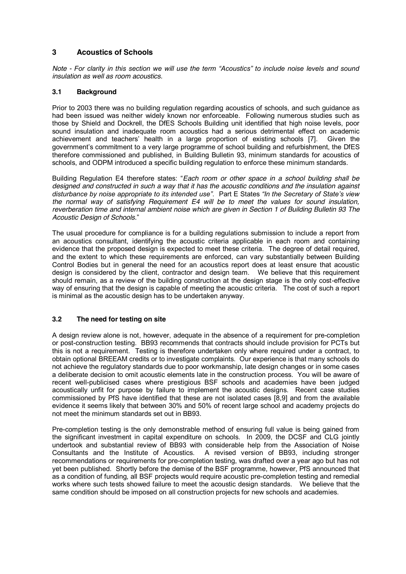# **3 Acoustics of Schools**

*Note - For clarity in this section we will use the term "Acoustics" to include noise levels and sound insulation as well as room acoustics.* 

## **3.1 Background**

Prior to 2003 there was no building regulation regarding acoustics of schools, and such guidance as had been issued was neither widely known nor enforceable. Following numerous studies such as those by Shield and Dockrell, the DfES Schools Building unit identified that high noise levels, poor sound insulation and inadequate room acoustics had a serious detrimental effect on academic achievement and teachers' health in a large proportion of existing schools [7]. Given the government's commitment to a very large programme of school building and refurbishment, the DfES therefore commissioned and published, in Building Bulletin 93, minimum standards for acoustics of schools, and ODPM introduced a specific building regulation to enforce these minimum standards.

Building Regulation E4 therefore states: "Each room or other space in a school building shall be *designed and constructed in such a way that it has the acoustic conditions and the insulation against*  disturbance by noise appropriate to its intended use". Part E States "In the Secretary of State's view *the normal way of satisfying Requirement E4 will be to meet the values for sound insulation, reverberation time and internal ambient noise which are given in Section 1 of Building Bulletin 93 The Acoustic Design of Schools.*´

The usual procedure for compliance is for a building regulations submission to include a report from an acoustics consultant, identifying the acoustic criteria applicable in each room and containing evidence that the proposed design is expected to meet these criteria. The degree of detail required, and the extent to which these requirements are enforced, can vary substantially between Building Control Bodies but in general the need for an acoustics report does at least ensure that acoustic design is considered by the client, contractor and design team. We believe that this requirement should remain, as a review of the building construction at the design stage is the only cost-effective way of ensuring that the design is capable of meeting the acoustic criteria. The cost of such a report is minimal as the acoustic design has to be undertaken anyway.

## **3.2 The need for testing on site**

A design review alone is not, however, adequate in the absence of a requirement for pre-completion or post-construction testing. BB93 recommends that contracts should include provision for PCTs but this is not a requirement. Testing is therefore undertaken only where required under a contract, to obtain optional BREEAM credits or to investigate complaints. Our experience is that many schools do not achieve the regulatory standards due to poor workmanship, late design changes or in some cases a deliberate decision to omit acoustic elements late in the construction process. You will be aware of recent well-publicised cases where prestigious BSF schools and academies have been judged acoustically unfit for purpose by failure to implement the acoustic designs. Recent case studies commissioned by PfS have identified that these are not isolated cases [8,9] and from the available evidence it seems likely that between 30% and 50% of recent large school and academy projects do not meet the minimum standards set out in BB93.

Pre-completion testing is the only demonstrable method of ensuring full value is being gained from the significant investment in capital expenditure on schools. In 2009, the DCSF and CLG jointly undertook and substantial review of BB93 with considerable help from the Association of Noise Consultants and the Institute of Acoustics. A revised version of BB93, including stronger recommendations or requirements for pre-completion testing, was drafted over a year ago but has not yet been published. Shortly before the demise of the BSF programme, however, PfS announced that as a condition of funding, all BSF projects would require acoustic pre-completion testing and remedial works where such tests showed failure to meet the acoustic design standards. We believe that the same condition should be imposed on all construction projects for new schools and academies.